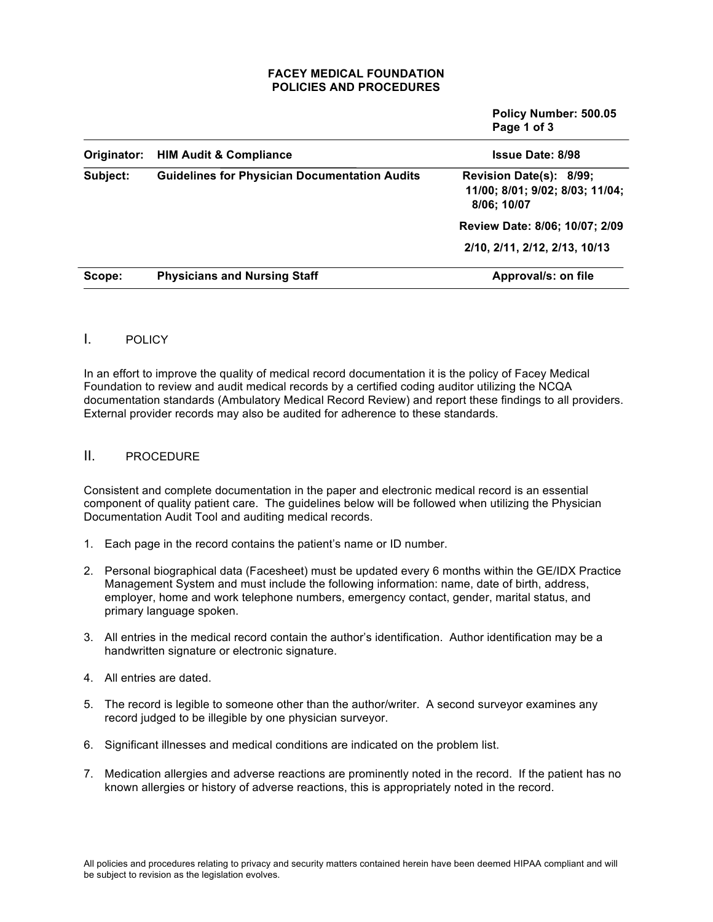### **FACEY MEDICAL FOUNDATION POLICIES AND PROCEDURES**

|             |                                                      | Policy Number: 500.05<br>Page 1 of 3                                      |
|-------------|------------------------------------------------------|---------------------------------------------------------------------------|
| Originator: | <b>HIM Audit &amp; Compliance</b>                    | <b>Issue Date: 8/98</b>                                                   |
| Subject:    | <b>Guidelines for Physician Documentation Audits</b> | Revision Date(s): 8/99;<br>11/00; 8/01; 9/02; 8/03; 11/04;<br>8/06; 10/07 |
|             |                                                      | Review Date: 8/06; 10/07; 2/09                                            |
|             |                                                      | 2/10, 2/11, 2/12, 2/13, 10/13                                             |
| Scope:      | <b>Physicians and Nursing Staff</b>                  | Approval/s: on file                                                       |

# I. POLICY

In an effort to improve the quality of medical record documentation it is the policy of Facey Medical Foundation to review and audit medical records by a certified coding auditor utilizing the NCQA documentation standards (Ambulatory Medical Record Review) and report these findings to all providers. External provider records may also be audited for adherence to these standards.

# II. PROCEDURE

Consistent and complete documentation in the paper and electronic medical record is an essential component of quality patient care. The guidelines below will be followed when utilizing the Physician Documentation Audit Tool and auditing medical records.

- 1. Each page in the record contains the patient's name or ID number.
- 2. Personal biographical data (Facesheet) must be updated every 6 months within the GE/IDX Practice Management System and must include the following information: name, date of birth, address, employer, home and work telephone numbers, emergency contact, gender, marital status, and primary language spoken.
- 3. All entries in the medical record contain the author's identification. Author identification may be a handwritten signature or electronic signature.
- 4. All entries are dated.
- 5. The record is legible to someone other than the author/writer. A second surveyor examines any record judged to be illegible by one physician surveyor.
- 6. Significant illnesses and medical conditions are indicated on the problem list.
- 7. Medication allergies and adverse reactions are prominently noted in the record. If the patient has no known allergies or history of adverse reactions, this is appropriately noted in the record.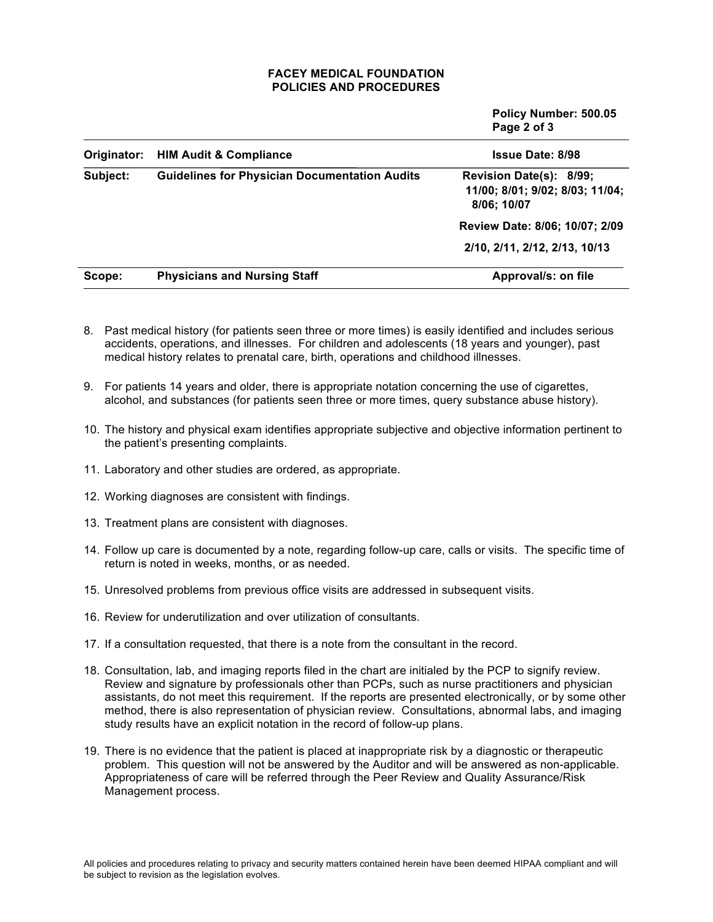### **FACEY MEDICAL FOUNDATION POLICIES AND PROCEDURES**

|             |                                                      | Policy Number: 500.05<br>Page 2 of 3                                      |
|-------------|------------------------------------------------------|---------------------------------------------------------------------------|
| Originator: | <b>HIM Audit &amp; Compliance</b>                    | <b>Issue Date: 8/98</b>                                                   |
| Subject:    | <b>Guidelines for Physician Documentation Audits</b> | Revision Date(s): 8/99;<br>11/00; 8/01; 9/02; 8/03; 11/04;<br>8/06; 10/07 |
|             |                                                      | Review Date: 8/06; 10/07; 2/09                                            |
|             |                                                      | 2/10, 2/11, 2/12, 2/13, 10/13                                             |
| Scope:      | <b>Physicians and Nursing Staff</b>                  | Approval/s: on file                                                       |

- 8. Past medical history (for patients seen three or more times) is easily identified and includes serious accidents, operations, and illnesses. For children and adolescents (18 years and younger), past medical history relates to prenatal care, birth, operations and childhood illnesses.
- 9. For patients 14 years and older, there is appropriate notation concerning the use of cigarettes, alcohol, and substances (for patients seen three or more times, query substance abuse history).
- 10. The history and physical exam identifies appropriate subjective and objective information pertinent to the patient's presenting complaints.
- 11. Laboratory and other studies are ordered, as appropriate.
- 12. Working diagnoses are consistent with findings.
- 13. Treatment plans are consistent with diagnoses.
- 14. Follow up care is documented by a note, regarding follow-up care, calls or visits. The specific time of return is noted in weeks, months, or as needed.
- 15. Unresolved problems from previous office visits are addressed in subsequent visits.
- 16. Review for underutilization and over utilization of consultants.
- 17. If a consultation requested, that there is a note from the consultant in the record.
- 18. Consultation, lab, and imaging reports filed in the chart are initialed by the PCP to signify review. Review and signature by professionals other than PCPs, such as nurse practitioners and physician assistants, do not meet this requirement. If the reports are presented electronically, or by some other method, there is also representation of physician review. Consultations, abnormal labs, and imaging study results have an explicit notation in the record of follow-up plans.
- 19. There is no evidence that the patient is placed at inappropriate risk by a diagnostic or therapeutic problem. This question will not be answered by the Auditor and will be answered as non-applicable. Appropriateness of care will be referred through the Peer Review and Quality Assurance/Risk Management process.